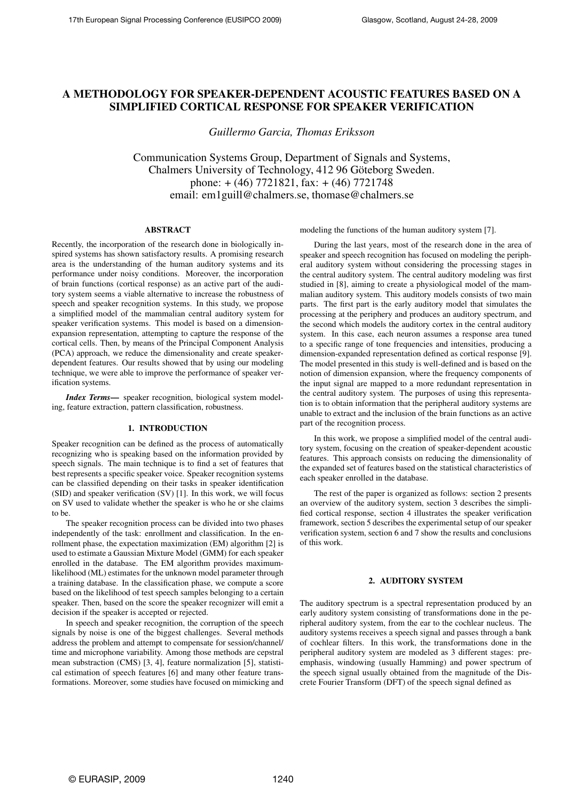# **A METHODOLOGY FOR SPEAKER-DEPENDENT ACOUSTIC FEATURES BASED ON A SIMPLIFIED CORTICAL RESPONSE FOR SPEAKER VERIFICATION**

*Guillermo Garcia, Thomas Eriksson*

Communication Systems Group, Department of Signals and Systems, Chalmers University of Technology, 412 96 Göteborg Sweden. phone:  $+(46)$  7721821, fax:  $+(46)$  7721748 email: em1guill@chalmers.se, thomase@chalmers.se

### **ABSTRACT**

Recently, the incorporation of the research done in biologically inspired systems has shown satisfactory results. A promising research area is the understanding of the human auditory systems and its performance under noisy conditions. Moreover, the incorporation of brain functions (cortical response) as an active part of the auditory system seems a viable alternative to increase the robustness of speech and speaker recognition systems. In this study, we propose a simplified model of the mammalian central auditory system for speaker verification systems. This model is based on a dimensionexpansion representation, attempting to capture the response of the cortical cells. Then, by means of the Principal Component Analysis (PCA) approach, we reduce the dimensionality and create speakerdependent features. Our results showed that by using our modeling technique, we were able to improve the performance of speaker verification systems.

*Index Terms***—** speaker recognition, biological system modeling, feature extraction, pattern classification, robustness.

#### **1. INTRODUCTION**

Speaker recognition can be defined as the process of automatically recognizing who is speaking based on the information provided by speech signals. The main technique is to find a set of features that best represents a specific speaker voice. Speaker recognition systems can be classified depending on their tasks in speaker identification (SID) and speaker verification (SV) [1]. In this work, we will focus on SV used to validate whether the speaker is who he or she claims to be.

The speaker recognition process can be divided into two phases independently of the task: enrollment and classification. In the enrollment phase, the expectation maximization (EM) algorithm [2] is used to estimate a Gaussian Mixture Model (GMM) for each speaker enrolled in the database. The EM algorithm provides maximumlikelihood (ML) estimates for the unknown model parameter through a training database. In the classification phase, we compute a score based on the likelihood of test speech samples belonging to a certain speaker. Then, based on the score the speaker recognizer will emit a decision if the speaker is accepted or rejected.

In speech and speaker recognition, the corruption of the speech signals by noise is one of the biggest challenges. Several methods address the problem and attempt to compensate for session/channel/ time and microphone variability. Among those methods are cepstral mean substraction (CMS) [3, 4], feature normalization [5], statistical estimation of speech features [6] and many other feature transformations. Moreover, some studies have focused on mimicking and

modeling the functions of the human auditory system [7].

During the last years, most of the research done in the area of speaker and speech recognition has focused on modeling the peripheral auditory system without considering the processing stages in the central auditory system. The central auditory modeling was first studied in [8], aiming to create a physiological model of the mammalian auditory system. This auditory models consists of two main parts. The first part is the early auditory model that simulates the processing at the periphery and produces an auditory spectrum, and the second which models the auditory cortex in the central auditory system. In this case, each neuron assumes a response area tuned to a specific range of tone frequencies and intensities, producing a dimension-expanded representation defined as cortical response [9]. The model presented in this study is well-defined and is based on the notion of dimension expansion, where the frequency components of the input signal are mapped to a more redundant representation in the central auditory system. The purposes of using this representation is to obtain information that the peripheral auditory systems are unable to extract and the inclusion of the brain functions as an active part of the recognition process.

In this work, we propose a simplified model of the central auditory system, focusing on the creation of speaker-dependent acoustic features. This approach consists on reducing the dimensionality of the expanded set of features based on the statistical characteristics of each speaker enrolled in the database.

The rest of the paper is organized as follows: section 2 presents an overview of the auditory system, section 3 describes the simplified cortical response, section 4 illustrates the speaker verification framework, section 5 describes the experimental setup of our speaker verification system, section 6 and 7 show the results and conclusions of this work.

### **2. AUDITORY SYSTEM**

The auditory spectrum is a spectral representation produced by an early auditory system consisting of transformations done in the peripheral auditory system, from the ear to the cochlear nucleus. The auditory systems receives a speech signal and passes through a bank of cochlear filters. In this work, the transformations done in the peripheral auditory system are modeled as 3 different stages: preemphasis, windowing (usually Hamming) and power spectrum of the speech signal usually obtained from the magnitude of the Discrete Fourier Transform (DFT) of the speech signal defined as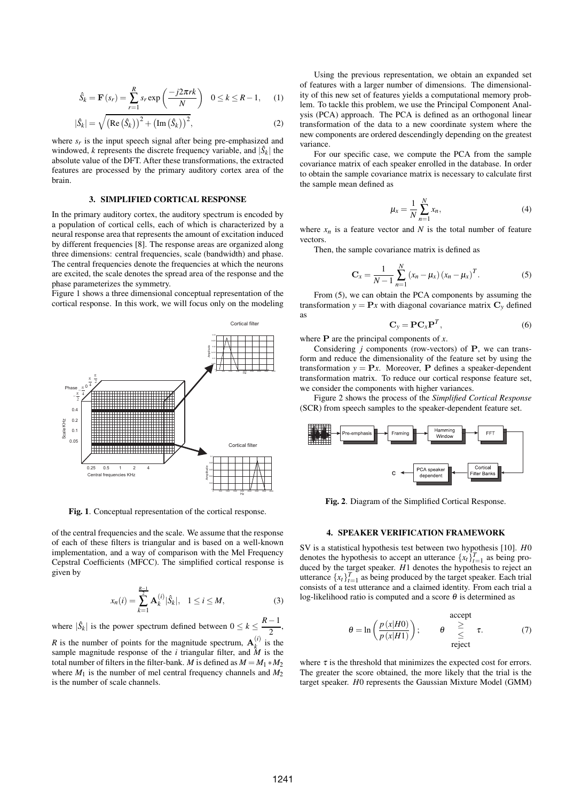$$
\hat{S}_k = \mathbf{F}(s_r) = \sum_{r=1}^{R} s_r \exp\left(\frac{-j2\pi rk}{N}\right) \quad 0 \le k \le R - 1,\qquad(1)
$$

$$
|\hat{S}_k| = \sqrt{\left(\text{Re}\left(\hat{S}_k\right)\right)^2 + \left(\text{Im}\left(\hat{S}_k\right)\right)^2},\tag{2}
$$

where  $s_r$  is the input speech signal after being pre-emphasized and windowed, *k* represents the discrete frequency variable, and  $|\hat{S}_k|$  the absolute value of the DFT. After these transformations, the extracted features are processed by the primary auditory cortex area of the brain.

#### **3. SIMPLIFIED CORTICAL RESPONSE**

In the primary auditory cortex, the auditory spectrum is encoded by a population of cortical cells, each of which is characterized by a neural response area that represents the amount of excitation induced by different frequencies [8]. The response areas are organized along three dimensions: central frequencies, scale (bandwidth) and phase. The central frequencies denote the frequencies at which the neurons are excited, the scale denotes the spread area of the response and the phase parameterizes the symmetry.

Figure 1 shows a three dimensional conceptual representation of the cortical response. In this work, we will focus only on the modeling



**Fig. 1**. Conceptual representation of the cortical response.

of the central frequencies and the scale. We assume that the response of each of these filters is triangular and is based on a well-known implementation, and a way of comparison with the Mel Frequency Cepstral Coefficients (MFCC). The simplified cortical response is given by

$$
x_n(i) = \sum_{k=1}^{\frac{R-1}{2}} \mathbf{A}_k^{(i)} |\hat{S}_k|, \quad 1 \le i \le M,
$$
 (3)

where  $|\hat{S}_k|$  is the power spectrum defined between  $0 \le k \le \frac{R-1}{2}$  $\frac{1}{2}$ , *R* is the number of points for the magnitude spectrum,  $\mathbf{A}_k^{(i)}$  is the sample magnitude response of the *i* triangular filter, and  $\tilde{M}$  is the total number of filters in the filter-bank. *M* is defined as  $M = M_1 * M_2$ where  $M_1$  is the number of mel central frequency channels and  $M_2$ is the number of scale channels.

Using the previous representation, we obtain an expanded set of features with a larger number of dimensions. The dimensionality of this new set of features yields a computational memory problem. To tackle this problem, we use the Principal Component Analysis (PCA) approach. The PCA is defined as an orthogonal linear transformation of the data to a new coordinate system where the new components are ordered descendingly depending on the greatest variance.

For our specific case, we compute the PCA from the sample covariance matrix of each speaker enrolled in the database. In order to obtain the sample covariance matrix is necessary to calculate first the sample mean defined as

$$
\mu_x = \frac{1}{N} \sum_{n=1}^{N} x_n,
$$
\n(4)

where  $x_n$  is a feature vector and N is the total number of feature vectors.

Then, the sample covariance matrix is defined as

$$
\mathbf{C}_{x} = \frac{1}{N-1} \sum_{n=1}^{N} (x_{n} - \mu_{x}) (x_{n} - \mu_{x})^{T}.
$$
 (5)

From (5), we can obtain the PCA components by assuming the transformation  $y = Px$  with diagonal covariance matrix  $C_y$  defined as

$$
\mathbf{C}_y = \mathbf{P}\mathbf{C}_x\mathbf{P}^T,\tag{6}
$$

where P are the principal components of *x*.

Considering *j* components (row-vectors) of P, we can transform and reduce the dimensionality of the feature set by using the transformation  $y = Px$ . Moreover, **P** defines a speaker-dependent transformation matrix. To reduce our cortical response feature set, we consider the components with higher variances.

Figure 2 shows the process of the *Simplified Cortical Response* (SCR) from speech samples to the speaker-dependent feature set.



**Fig. 2**. Diagram of the Simplified Cortical Response.

#### **4. SPEAKER VERIFICATION FRAMEWORK**

SV is a statistical hypothesis test between two hypothesis [10]. *H*0 denotes the hypothesis to accept an utterance  $\{x_t\}_{t=1}^T$  as being produced by the target speaker. *H*1 denotes the hypothesis to reject an utterance  $\{x_t\}_{t=1}^T$  as being produced by the target speaker. Each trial consists of a test utterance and a claimed identity. From each trial a log-likelihood ratio is computed and a score  $\theta$  is determined as

$$
\theta = \ln\left(\frac{p(x|H0)}{p(x|H1)}\right); \qquad \theta \geq \text{ z.} \tag{7}
$$

where  $\tau$  is the threshold that minimizes the expected cost for errors. The greater the score obtained, the more likely that the trial is the target speaker. *H*0 represents the Gaussian Mixture Model (GMM)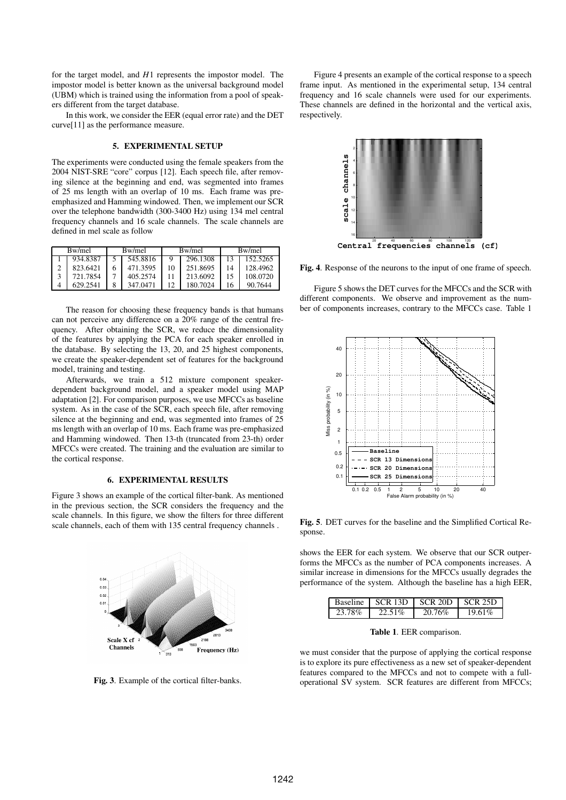for the target model, and *H*1 represents the impostor model. The impostor model is better known as the universal background model (UBM) which is trained using the information from a pool of speakers different from the target database.

In this work, we consider the EER (equal error rate) and the DET curve[11] as the performance measure.

### **5. EXPERIMENTAL SETUP**

The experiments were conducted using the female speakers from the 2004 NIST-SRE "core" corpus [12]. Each speech file, after removing silence at the beginning and end, was segmented into frames of 25 ms length with an overlap of 10 ms. Each frame was preemphasized and Hamming windowed. Then, we implement our SCR over the telephone bandwidth (300-3400 Hz) using 134 mel central frequency channels and 16 scale channels. The scale channels are defined in mel scale as follow

| Bw/mel |          | Bw/mel |          | Bw/mel |          | Bw/mel |          |
|--------|----------|--------|----------|--------|----------|--------|----------|
|        | 934 8387 |        | 545.8816 |        | 296.1308 |        | 152.5265 |
|        | 823.6421 | 6      | 471.3595 |        | 251.8695 |        | 128 4962 |
|        | 721.7854 |        | 405.2574 |        | 213.6092 |        | 108.0720 |
|        | 629.2541 |        | 347.0471 |        | 180.7024 |        | 90.7644  |

The reason for choosing these frequency bands is that humans can not perceive any difference on a 20% range of the central frequency. After obtaining the SCR, we reduce the dimensionality of the features by applying the PCA for each speaker enrolled in the database. By selecting the 13, 20, and 25 highest components, we create the speaker-dependent set of features for the background model, training and testing.

Afterwards, we train a 512 mixture component speakerdependent background model, and a speaker model using MAP adaptation [2]. For comparison purposes, we use MFCCs as baseline system. As in the case of the SCR, each speech file, after removing silence at the beginning and end, was segmented into frames of 25 ms length with an overlap of 10 ms. Each frame was pre-emphasized and Hamming windowed. Then 13-th (truncated from 23-th) order MFCCs were created. The training and the evaluation are similar to the cortical response.

### **6. EXPERIMENTAL RESULTS**

Figure 3 shows an example of the cortical filter-bank. As mentioned in the previous section, the SCR considers the frequency and the scale channels. In this figure, we show the filters for three different scale channels, each of them with 135 central frequency channels .



**Fig. 3**. Example of the cortical filter-banks.

Figure 4 presents an example of the cortical response to a speech frame input. As mentioned in the experimental setup, 134 central frequency and 16 scale channels were used for our experiments. These channels are defined in the horizontal and the vertical axis, respectively.



Central frequencies channels (cf)

**Fig. 4**. Response of the neurons to the input of one frame of speech.

Figure 5 shows the DET curves for the MFCCs and the SCR with different components. We observe and improvement as the number of components increases, contrary to the MFCCs case. Table 1



**Fig. 5**. DET curves for the baseline and the Simplified Cortical Response.

shows the EER for each system. We observe that our SCR outperforms the MFCCs as the number of PCA components increases. A similar increase in dimensions for the MFCCs usually degrades the performance of the system. Although the baseline has a high EER,

|        | Baseline   SCR 13D | $\pm$ SCR 20D | L SCR 25D |
|--------|--------------------|---------------|-----------|
| 23.78% | 22.51%             | 20.76%        | 19.61%    |

**Table 1**. EER comparison.

we must consider that the purpose of applying the cortical response is to explore its pure effectiveness as a new set of speaker-dependent features compared to the MFCCs and not to compete with a fulloperational SV system. SCR features are different from MFCCs;